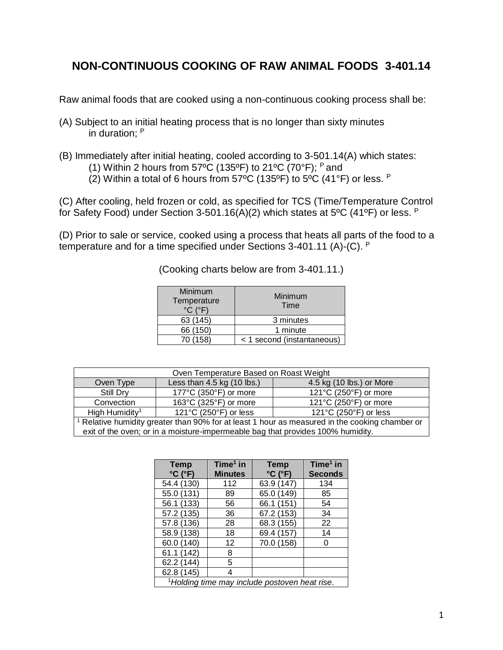## **NON-CONTINUOUS COOKING OF RAW ANIMAL FOODS 3-401.14**

Raw animal foods that are cooked using a non-continuous cooking process shall be:

- (A) Subject to an initial heating process that is no longer than sixty minutes in duration; <sup>P</sup>
- (B) Immediately after initial heating, cooled according to 3-501.14(A) which states:
	- (1) Within 2 hours from 57°C (135°F) to 21°C (70°F);  $P$  and
	- (2) Within a total of 6 hours from 57°C (135°F) to 5°C (41°F) or less.  $P$

(C) After cooling, held frozen or cold, as specified for TCS (Time/Temperature Control for Safety Food) under Section 3-501.16(A)(2) which states at 5°C (41°F) or less. P

(D) Prior to sale or service, cooked using a process that heats all parts of the food to a temperature and for a time specified under Sections 3-401.11 (A)-(C). <sup>P</sup>

(Cooking charts below are from 3-401.11.)

| Minimum<br>Temperature<br>$^{\circ}$ C ( $^{\circ}$ F) | Minimum<br>Time            |  |
|--------------------------------------------------------|----------------------------|--|
| 63 (145)                                               | 3 minutes                  |  |
| 66 (150)                                               | 1 minute                   |  |
| 70 (158)                                               | < 1 second (instantaneous) |  |

| Oven Temperature Based on Roast Weight                                                       |                              |                                           |  |  |
|----------------------------------------------------------------------------------------------|------------------------------|-------------------------------------------|--|--|
| Oven Type                                                                                    | Less than $4.5$ kg (10 lbs.) | 4.5 kg (10 lbs.) or More                  |  |  |
| Still Dry                                                                                    | 177°C (350°F) or more        | 121°C (250°F) or more                     |  |  |
| Convection                                                                                   | 163°C (325°F) or more        | 121°C (250°F) or more                     |  |  |
| High Humidity <sup>1</sup>                                                                   | 121°C (250°F) or less        | 121 $\degree$ C (250 $\degree$ F) or less |  |  |
| Relative humidity greater than 90% for at least 1 hour as measured in the cooking chamber or |                              |                                           |  |  |
| exit of the oven; or in a moisture-impermeable bag that provides 100% humidity.              |                              |                                           |  |  |

| <b>Temp</b>                                               | Time $1$ in    | <b>Temp</b>   | Time $1$ in    |  |
|-----------------------------------------------------------|----------------|---------------|----------------|--|
| $°C$ ( $°F$ )                                             | <b>Minutes</b> | $°C$ ( $°F$ ) | <b>Seconds</b> |  |
| 54.4 (130)                                                | 112            | 63.9 (147)    | 134            |  |
| 55.0 (131)                                                | 89             | 65.0 (149)    | 85             |  |
| 56.1 (133)                                                | 56             | 66.1 (151)    | 54             |  |
| 57.2 (135)                                                | 36             | 67.2 (153)    | 34             |  |
| 57.8 (136)                                                | 28             | 68.3 (155)    | 22             |  |
| 58.9 (138)                                                | 18             | 69.4 (157)    | 14             |  |
| 60.0 (140)                                                | 12             | 70.0 (158)    | ი              |  |
| 61.1 (142)                                                | 8              |               |                |  |
| 62.2 (144)                                                | 5              |               |                |  |
| 62.8 (145)                                                | 4              |               |                |  |
| <sup>1</sup> Holding time may include postoven heat rise. |                |               |                |  |